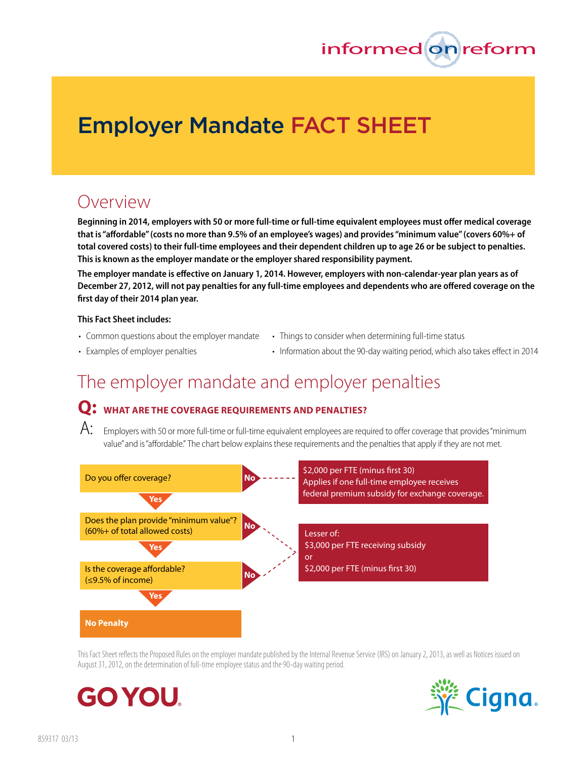

# **Employer Mandate FACT SHEET**

## Overview

**Beginning in 2014, employers with 50 or more full-time or full-time equivalent employees must offer medical coverage that is "affordable" (costs no more than 9.5% of an employee's wages) and provides "minimum value" (covers 60%+ of total covered costs) to their full-time employees and their dependent children up to age 26 or be subject to penalties. This is known as the employer mandate or the employer shared responsibility payment.**

**The employer mandate is effective on January 1, 2014. However, employers with non-calendar-year plan years as of December 27, 2012, will not pay penalties for any full-time employees and dependents who are offered coverage on the first day of their 2014 plan year.** 

#### **This Fact Sheet includes:**

- 
- 
- Common questions about the employer mandate Things to consider when determining full-time status
- Examples of employer penalties Information about the 90-day waiting period, which also takes effect in 2014

# The employer mandate and employer penalties

### **Q: What Are the coverage Requirements and penalties?**

 $\mathsf{A}\text{: }$  Employers with 50 or more full-time or full-time equivalent employees are required to offer coverage that provides "minimum value" and is "affordable." The chart below explains these requirements and the penalties that apply if they are not met.



This Fact Sheet reflects the Proposed Rules on the employer mandate published by the Internal Revenue Service (IRS) on January 2, 2013, as well as Notices issued on August 31, 2012, on the determination of full-time employee status and the 90-day waiting period.



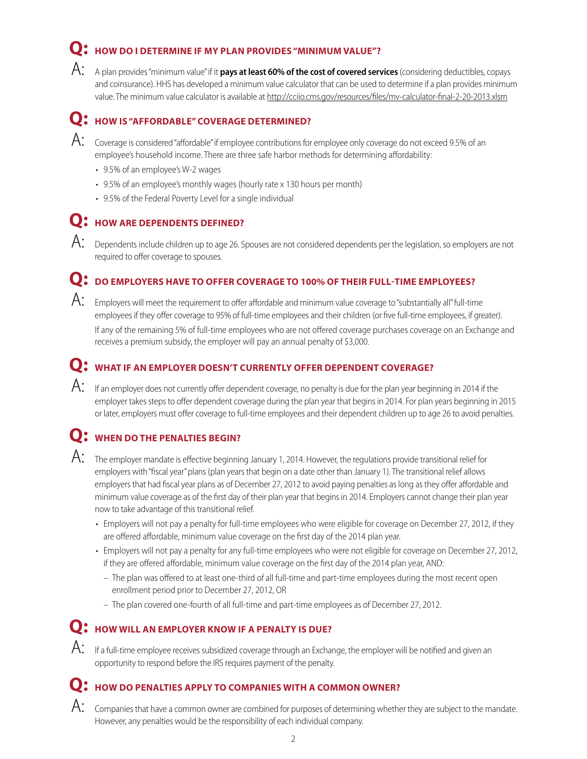## **Q: HOW DO I determine if my plan provides "minimum value"?**

A: A plan provides "minimum value" if it **pays at least 60% of the cost of covered services** (considering deductibles, copays and coinsurance). HHS has developed a minimum value calculator that can be used to determine if a plan provides minimum value. The minimum value calculator is available at http://cciio.cms.gov/resources/files/mv-calculator-final-2-20-2013.xlsm

### **Q: How is "affordable" coverage determined?**

- $\mathsf{A}\text{:}$  Coverage is considered "affordable" if employee contributions for employee only coverage do not exceed 9.5% of an employee's household income. There are three safe harbor methods for determining affordability:
	- 9.5% of an employee's W-2 wages
	- 9.5% of an employee's monthly wages (hourly rate x 130 hours per month)
	- 9.5% of the Federal Poverty Level for a single individual

### **Q: How are dependents defined?**

 $\rm A:$  Dependents include children up to age 26. Spouses are not considered dependents per the legislation, so employers are not required to offer coverage to spouses.

#### **Q: Do employers have to offer coverage to 100% of their full-time employees?**

 $\mathsf{A}\text{: }$  Employers will meet the requirement to offer affordable and minimum value coverage to "substantially all" full-time employees if they offer coverage to 95% of full-time employees and their children (or five full-time employees, if greater).

If any of the remaining 5% of full-time employees who are not offered coverage purchases coverage on an Exchange and receives a premium subsidy, the employer will pay an annual penalty of \$3,000.

### **Q: What if an employer doesn't currently offer dependent coverage?**

 $\mathsf{A}\text{:}$  If an employer does not currently offer dependent coverage, no penalty is due for the plan year beginning in 2014 if the employer takes steps to offer dependent coverage during the plan year that begins in 2014. For plan years beginning in 2015 or later, employers must offer coverage to full-time employees and their dependent children up to age 26 to avoid penalties.

### **Q: When do the penalties begin?**

- $\mathcal{A}$ : The employer mandate is effective beginning January 1, 2014. However, the regulations provide transitional relief for employers with "fiscal year" plans (plan years that begin on a date other than January 1). The transitional relief allows employers that had fiscal year plans as of December 27, 2012 to avoid paying penalties as long as they offer affordable and minimum value coverage as of the first day of their plan year that begins in 2014. Employers cannot change their plan year now to take advantage of this transitional relief.
	- • Employers will not pay a penalty for full-time employees who were eligible for coverage on December 27, 2012, if they are offered affordable, minimum value coverage on the first day of the 2014 plan year.
	- • Employers will not pay a penalty for any full-time employees who were not eligible for coverage on December 27, 2012, if they are offered affordable, minimum value coverage on the first day of the 2014 plan year, AND:
		- The plan was offered to at least one-third of all full-time and part-time employees during the most recent open enrollment period prior to December 27, 2012, OR
		- The plan covered one-fourth of all full-time and part-time employees as of December 27, 2012.

### **Q: How will an employer know if a penalty is due?**

 $\mathsf{A}\text{:}$  If a full-time employee receives subsidized coverage through an Exchange, the employer will be notified and given an opportunity to respond before the IRS requires payment of the penalty.

## **Q: How do penalties apply to companies with a common owner?**

 $\mathsf{A}$ : Companies that have a common owner are combined for purposes of determining whether they are subject to the mandate. However, any penalties would be the responsibility of each individual company.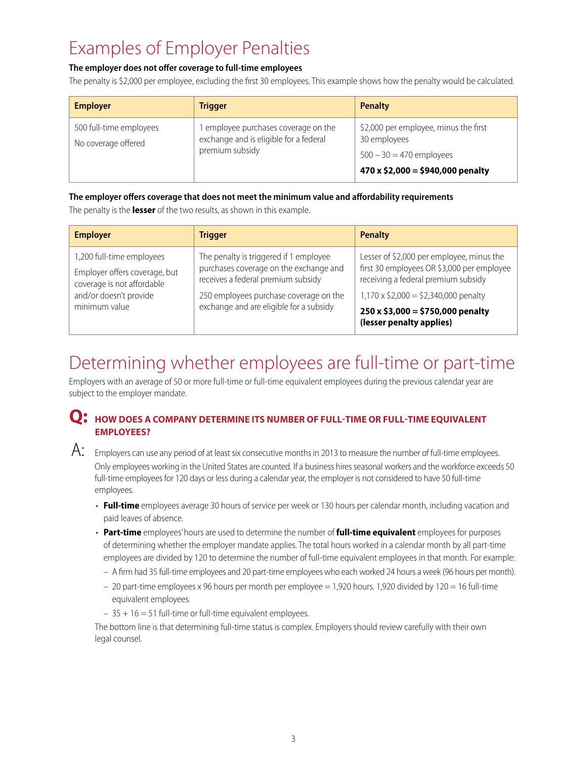# Examples of Employer Penalties

#### **The employer does not offer coverage to full-time employees**

The penalty is \$2,000 per employee, excluding the first 30 employees. This example shows how the penalty would be calculated.

| <b>Employer</b>                                | <b>Trigger</b>                                                                                  | Penalty                                                                                                                       |
|------------------------------------------------|-------------------------------------------------------------------------------------------------|-------------------------------------------------------------------------------------------------------------------------------|
| 500 full-time employees<br>No coverage offered | employee purchases coverage on the<br>exchange and is eligible for a federal<br>premium subsidy | \$2,000 per employee, minus the first<br>30 employees<br>$500 - 30 = 470$ employees<br>$470 \times $2,000 = $940,000$ penalty |

#### **The employer offers coverage that does not meet the minimum value and affordability requirements**

The penalty is the **lesser** of the two results, as shown in this example.

| <b>Employer</b>                                                                                                                     | <b>Trigger</b>                                                                                                                                                                                              | <b>Penalty</b>                                                                                                                                                                                                                                     |
|-------------------------------------------------------------------------------------------------------------------------------------|-------------------------------------------------------------------------------------------------------------------------------------------------------------------------------------------------------------|----------------------------------------------------------------------------------------------------------------------------------------------------------------------------------------------------------------------------------------------------|
| 1,200 full-time employees<br>Employer offers coverage, but<br>coverage is not affordable<br>and/or doesn't provide<br>minimum value | The penalty is triggered if 1 employee<br>purchases coverage on the exchange and<br>receives a federal premium subsidy<br>250 employees purchase coverage on the<br>exchange and are eligible for a subsidy | Lesser of \$2,000 per employee, minus the<br>first 30 employees OR \$3,000 per employee<br>receiving a federal premium subsidy<br>$1,170 \times $2,000 = $2,340,000$ penalty<br>$250 \times $3,000 = $750,000$ penalty<br>(lesser penalty applies) |

## Determining whether employees are full-time or part-time

Employers with an average of 50 or more full-time or full-time equivalent employees during the previous calendar year are subject to the employer mandate.

#### **Q:** HOW DOES A COMPANY DETERMINE ITS NUMBER OF FULL-TIME OR FULL-TIME EQUIVALENT **employees?**



 $A:$  Employers can use any period of at least six consecutive months in 2013 to measure the number of full-time employees. Only employees working in the United States are counted. If a business hires seasonal workers and the workforce exceeds 50 full-time employees for 120 days or less during a calendar year, the employer is not considered to have 50 full-time employees.

- • **Full-time** employees average 30 hours of service per week or 130 hours per calendar month, including vacation and paid leaves of absence.
- • **Part-time** employees' hours are used to determine the number of **full-time equivalent** employees for purposes of determining whether the employer mandate applies. The total hours worked in a calendar month by all part-time employees are divided by 120 to determine the number of full-time equivalent employees in that month. For example:
	- A firm had 35 full-time employees and 20 part-time employees who each worked 24 hours a week (96 hours per month).
	- 20 part-time employees x 96 hours per month per employee = 1,920 hours. 1,920 divided by 120 = 16 full-time equivalent employees.
	- $-35 + 16 = 51$  full-time or full-time equivalent employees.

The bottom line is that determining full-time status is complex. Employers should review carefully with their own legal counsel.